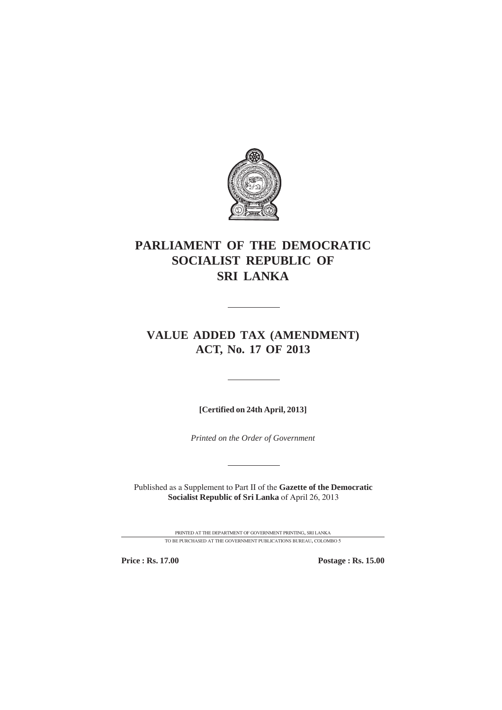

# **PARLIAMENT OF THE DEMOCRATIC SOCIALIST REPUBLIC OF SRI LANKA**

## **VALUE ADDED TAX (AMENDMENT) ACT, No. 17 OF 2013**

**[Certified on 24th April, 2013]**

*Printed on the Order of Government*

Published as a Supplement to Part II of the **Gazette of the Democratic Socialist Republic of Sri Lanka** of April 26, 2013

> PRINTED AT THE DEPARTMENT OF GOVERNMENT PRINTING, SRI LANKA TO BE PURCHASED AT THE GOVERNMENT PUBLICATIONS BUREAU, COLOMBO 5

**Price : Rs. 17.00 Postage : Rs. 15.00**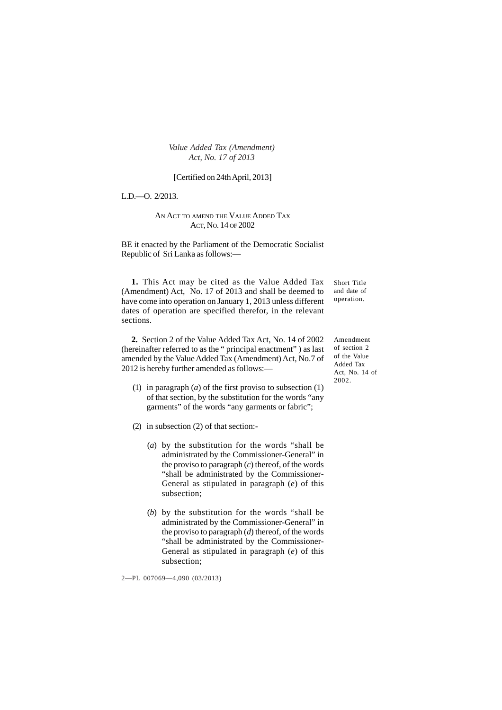#### [Certified on 24th April, 2013]

L.D.—O. 2/2013.

#### AN ACT TO AMEND THE VALUE ADDED TAX ACT, NO. 14 OF 2002

BE it enacted by the Parliament of the Democratic Socialist Republic of Sri Lanka as follows:—

**1.** This Act may be cited as the Value Added Tax (Amendment) Act, No. 17 of 2013 and shall be deemed to have come into operation on January 1, 2013 unless different dates of operation are specified therefor, in the relevant sections.

**2.** Section 2 of the Value Added Tax Act, No. 14 of 2002 (hereinafter referred to as the " principal enactment" ) as last amended by the Value Added Tax (Amendment) Act, No.7 of 2012 is hereby further amended as follows:—

- (1) in paragraph (*a*) of the first proviso to subsection (1) of that section, by the substitution for the words "any garments" of the words "any garments or fabric";
- (2) in subsection (2) of that section:-
	- (*a*) by the substitution for the words "shall be administrated by the Commissioner-General" in the proviso to paragraph (*c*) thereof, of the words "shall be administrated by the Commissioner-General as stipulated in paragraph (*e*) of this subsection;
	- (*b*) by the substitution for the words "shall be administrated by the Commissioner-General" in the proviso to paragraph (*d*) thereof, of the words "shall be administrated by the Commissioner-General as stipulated in paragraph (*e*) of this subsection;

2—PL 007069—4,090 (03/2013)

Short Title and date of operation.

Amendment of section 2 of the Value Added Tax Act, No. 14 of 2002.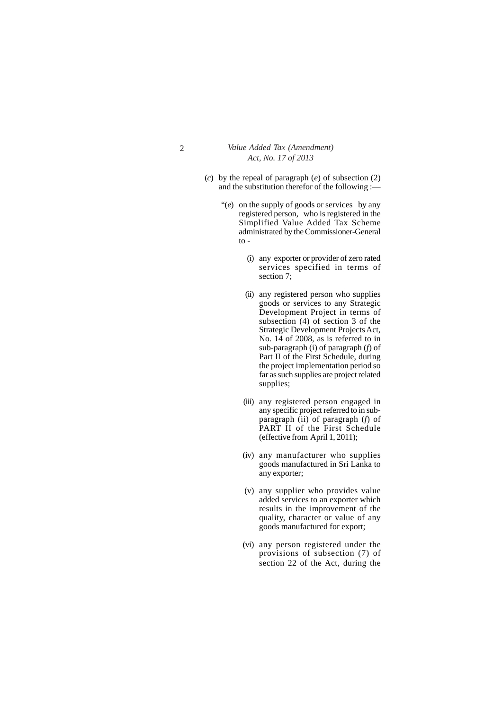- (*c*) by the repeal of paragraph (*e*) of subsection (2) and the substitution therefor of the following :—
	- "(*e*) on the supply of goods or services by any registered person, who is registered in the Simplified Value Added Tax Scheme administrated by the Commissioner-General to -
		- (i) any exporter or provider of zero rated services specified in terms of section 7;
		- (ii) any registered person who supplies goods or services to any Strategic Development Project in terms of subsection (4) of section 3 of the Strategic Development Projects Act, No. 14 of 2008, as is referred to in sub-paragraph (i) of paragraph (*f*) of Part II of the First Schedule, during the project implementation period so far as such supplies are project related supplies;
		- (iii) any registered person engaged in any specific project referred to in subparagraph (ii) of paragraph (*f*) of PART II of the First Schedule (effective from April 1, 2011);
		- (iv) any manufacturer who supplies goods manufactured in Sri Lanka to any exporter;
		- (v) any supplier who provides value added services to an exporter which results in the improvement of the quality, character or value of any goods manufactured for export;
		- (vi) any person registered under the provisions of subsection (7) of section 22 of the Act, during the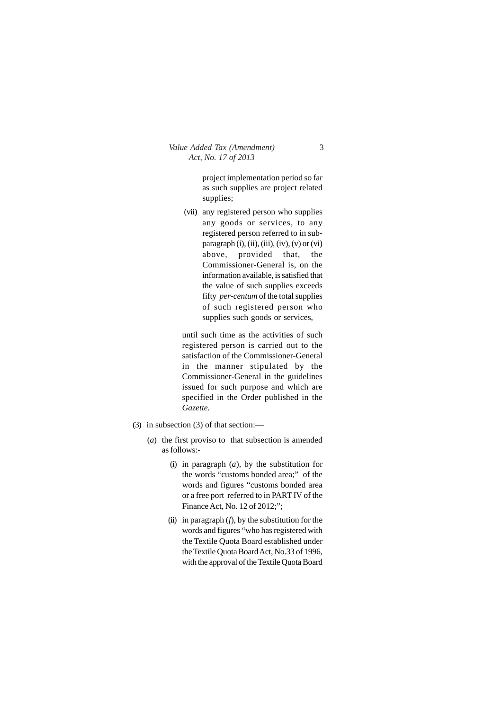project implementation period so far as such supplies are project related supplies;

(vii) any registered person who supplies any goods or services, to any registered person referred to in subparagraph  $(i)$ ,  $(ii)$ ,  $(iii)$ ,  $(iv)$ ,  $(v)$  or  $(vi)$ above, provided that, the Commissioner-General is, on the information available, is satisfied that the value of such supplies exceeds fifty *per-centum* of the total supplies of such registered person who supplies such goods or services,

until such time as the activities of such registered person is carried out to the satisfaction of the Commissioner-General in the manner stipulated by the Commissioner-General in the guidelines issued for such purpose and which are specified in the Order published in the *Gazette.*

- (3) in subsection (3) of that section:—
	- (*a*) the first proviso to that subsection is amended as follows:-
		- (i) in paragraph (*a*), by the substitution for the words "customs bonded area;" of the words and figures "customs bonded area or a free port referred to in PART IV of the Finance Act, No. 12 of 2012;";
		- (ii) in paragraph  $(f)$ , by the substitution for the words and figures "who has registered with the Textile Quota Board established under the Textile Quota Board Act, No.33 of 1996, with the approval of the Textile Quota Board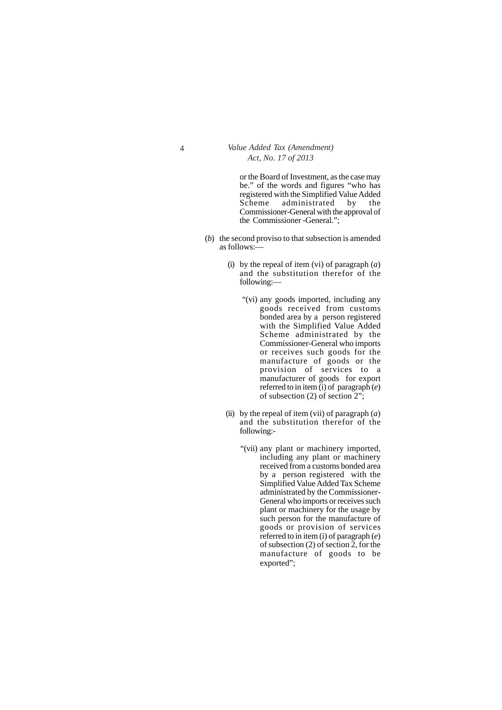or the Board of Investment, as the case may be." of the words and figures "who has registered with the Simplified Value Added Scheme administrated by the Commissioner-General with the approval of the Commissioner -General.";

- (*b*) the second proviso to that subsection is amended as follows:—
	- (i) by the repeal of item (vi) of paragraph (*a*) and the substitution therefor of the following:—
		- "(vi) any goods imported, including any goods received from customs bonded area by a person registered with the Simplified Value Added Scheme administrated by the Commissioner-General who imports or receives such goods for the manufacture of goods or the provision of services to a manufacturer of goods for export referred to in item (i) of paragraph (*e*) of subsection (2) of section 2";
	- (ii) by the repeal of item (vii) of paragraph  $(a)$ and the substitution therefor of the following:-
		- "(vii) any plant or machinery imported, including any plant or machinery received from a customs bonded area by a person registered with the Simplified Value Added Tax Scheme administrated by the Commissioner-General who imports or receives such plant or machinery for the usage by such person for the manufacture of goods or provision of services referred to in item (i) of paragraph (*e*) of subsection (2) of section 2, for the manufacture of goods to be exported";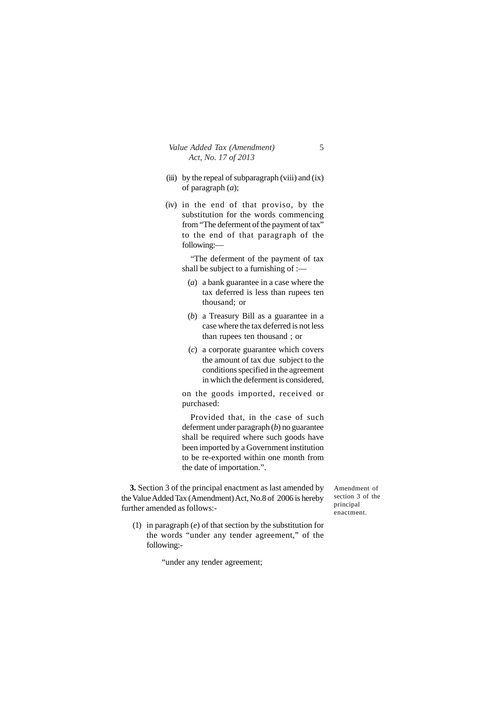- (iii) by the repeal of subparagraph (viii) and  $(ix)$ of paragraph (*a*);
- (iv) in the end of that proviso, by the substitution for the words commencing from "The deferment of the payment of tax" to the end of that paragraph of the following:—

"The deferment of the payment of tax shall be subject to a furnishing of :—

- (*a*) a bank guarantee in a case where the tax deferred is less than rupees ten thousand; or
- (*b*) a Treasury Bill as a guarantee in a case where the tax deferred is not less than rupees ten thousand ; or
- (*c*) a corporate guarantee which covers the amount of tax due subject to the conditions specified in the agreement in which the deferment is considered,

on the goods imported, received or purchased:

Provided that, in the case of such deferment under paragraph (*b*) no guarantee shall be required where such goods have been imported by a Government institution to be re-exported within one month from the date of importation.".

**3.** Section 3 of the principal enactment as last amended by the Value Added Tax (Amendment) Act, No.8 of 2006 is hereby further amended as follows:-

- Amendment of section 3 of the principal enactment.
- (1) in paragraph (*e*) of that section by the substitution for the words "under any tender agreement," of the following:-

"under any tender agreement;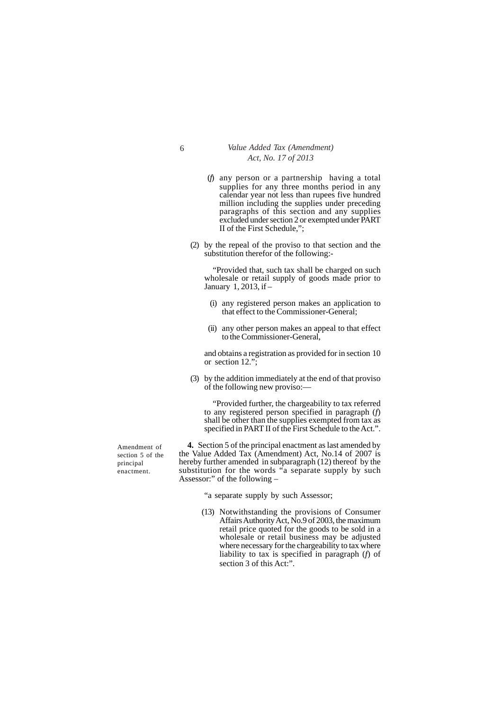- 6 *Value Added Tax (Amendment) Act, No. 17 of 2013*
	- (*f*) any person or a partnership having a total supplies for any three months period in any calendar year not less than rupees five hundred million including the supplies under preceding paragraphs of this section and any supplies excluded under section 2 or exempted under PART II of the First Schedule,";
	- (2) by the repeal of the proviso to that section and the substitution therefor of the following:-

"Provided that, such tax shall be charged on such wholesale or retail supply of goods made prior to January 1, 2013, if –

- (i) any registered person makes an application to that effect to the Commissioner-General;
- (ii) any other person makes an appeal to that effect to the Commissioner-General,

and obtains a registration as provided for in section 10 or section 12.";

(3) by the addition immediately at the end of that proviso of the following new proviso:—

"Provided further, the chargeability to tax referred to any registered person specified in paragraph (*f*) shall be other than the supplies exempted from tax as specified in PART II of the First Schedule to the Act.".

**4.** Section 5 of the principal enactment as last amended by the Value Added Tax (Amendment) Act, No.14 of 2007 is hereby further amended in subparagraph (12) thereof by the substitution for the words "a separate supply by such Assessor:" of the following –

"a separate supply by such Assessor;

(13) Notwithstanding the provisions of Consumer Affairs Authority Act, No.9 of 2003, the maximum retail price quoted for the goods to be sold in a wholesale or retail business may be adjusted where necessary for the chargeability to tax where liability to tax is specified in paragraph (*f*) of section 3 of this Act:".

Amendment of section 5 of the principal enactment.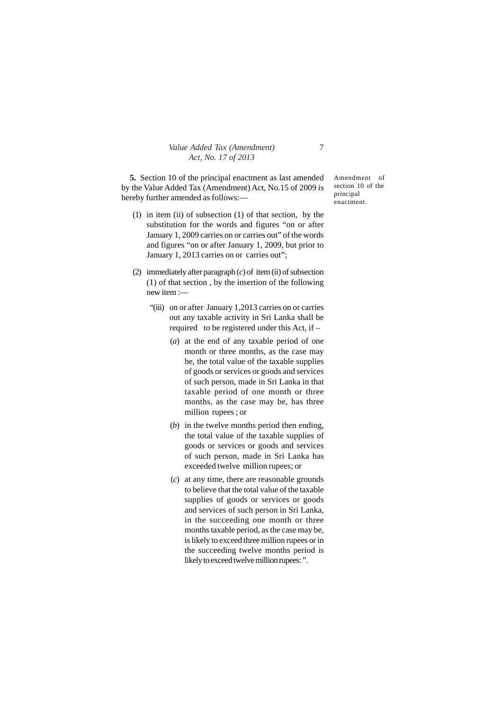**5.** Section 10 of the principal enactment as last amended by the Value Added Tax (Amendment) Act, No.15 of 2009 is hereby further amended as follows:—

- (1) in item (ii) of subsection (1) of that section, by the substitution for the words and figures "on or after January 1, 2009 carries on or carries out" of the words and figures "on or after January 1, 2009, but prior to January 1, 2013 carries on or carries out";
- (2) immediately after paragraph (*c*) of item (ii) of subsection (1) of that section , by the insertion of the following new item :—
	- "(iii) on or after January 1,2013 carries on or carries out any taxable activity in Sri Lanka shall be required to be registered under this Act, if –
		- (*a*) at the end of any taxable period of one month or three months, as the case may be, the total value of the taxable supplies of goods or services or goods and services of such person, made in Sri Lanka in that taxable period of one month or three months, as the case may be, has three million rupees ; or
		- (*b*) in the twelve months period then ending, the total value of the taxable supplies of goods or services or goods and services of such person, made in Sri Lanka has exceeded twelve million rupees; or
		- (*c*) at any time, there are reasonable grounds to believe that the total value of the taxable supplies of goods or services or goods and services of such person in Sri Lanka, in the succeeding one month or three months taxable period, as the case may be, is likely to exceed three million rupees or in the succeeding twelve months period is likely to exceed twelve million rupees: ".

Amendment of section 10 of the principal enactment.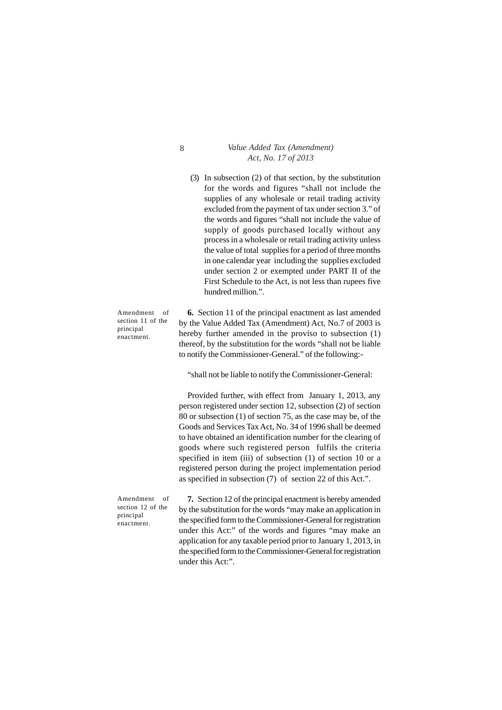(3) In subsection (2) of that section, by the substitution for the words and figures "shall not include the supplies of any wholesale or retail trading activity excluded from the payment of tax under section 3." of the words and figures "shall not include the value of supply of goods purchased locally without any process in a wholesale or retail trading activity unless the value of total supplies for a period of three months in one calendar year including the supplies excluded under section 2 or exempted under PART II of the First Schedule to the Act, is not less than rupees five hundred million.".

Amendment of section 11 of the principal enactment.

Amendment of section 12 of the principal enactment.

**6.** Section 11 of the principal enactment as last amended by the Value Added Tax (Amendment) Act, No.7 of 2003 is hereby further amended in the proviso to subsection (1) thereof, by the substitution for the words "shall not be liable to notify the Commissioner-General." of the following:-

"shall not be liable to notify the Commissioner-General:

Provided further, with effect from January 1, 2013, any person registered under section 12, subsection (2) of section 80 or subsection (1) of section 75, as the case may be, of the Goods and Services Tax Act, No. 34 of 1996 shall be deemed to have obtained an identification number for the clearing of goods where such registered person fulfils the criteria specified in item (iii) of subsection (1) of section 10 or a registered person during the project implementation period as specified in subsection (7) of section 22 of this Act.".

**7.** Section 12 of the principal enactment is hereby amended by the substitution for the words "may make an application in the specified form to the Commissioner-General for registration under this Act:" of the words and figures "may make an application for any taxable period prior to January 1, 2013, in the specified form to the Commissioner-General for registration under this Act:".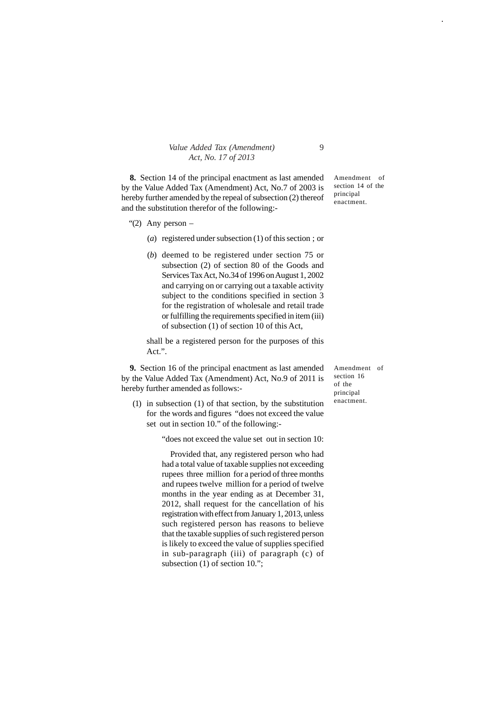| Value Added Tax (Amendment) |  |
|-----------------------------|--|
| Act, No. 17 of 2013         |  |

**8.** Section 14 of the principal enactment as last amended by the Value Added Tax (Amendment) Act, No.7 of 2003 is hereby further amended by the repeal of subsection (2) thereof and the substitution therefor of the following:-

- "(2) Any person  $-$ 
	- (*a*) registered under subsection (1) of this section ; or
	- (*b*) deemed to be registered under section 75 or subsection (2) of section 80 of the Goods and Services Tax Act, No.34 of 1996 on August 1, 2002 and carrying on or carrying out a taxable activity subject to the conditions specified in section 3 for the registration of wholesale and retail trade or fulfilling the requirements specified in item (iii) of subsection (1) of section 10 of this Act,

shall be a registered person for the purposes of this Act.".

**9.** Section 16 of the principal enactment as last amended by the Value Added Tax (Amendment) Act, No.9 of 2011 is hereby further amended as follows:-

(1) in subsection (1) of that section, by the substitution for the words and figures "does not exceed the value set out in section 10." of the following:-

"does not exceed the value set out in section 10:

Provided that, any registered person who had had a total value of taxable supplies not exceeding rupees three million for a period of three months and rupees twelve million for a period of twelve months in the year ending as at December 31, 2012, shall request for the cancellation of his registration with effect from January 1, 2013, unless such registered person has reasons to believe that the taxable supplies of such registered person is likely to exceed the value of supplies specified in sub-paragraph (iii) of paragraph (c) of subsection (1) of section 10.";

Amendment of section 14 of the principal enactment.

Amendment of section 16 of the principal enactment.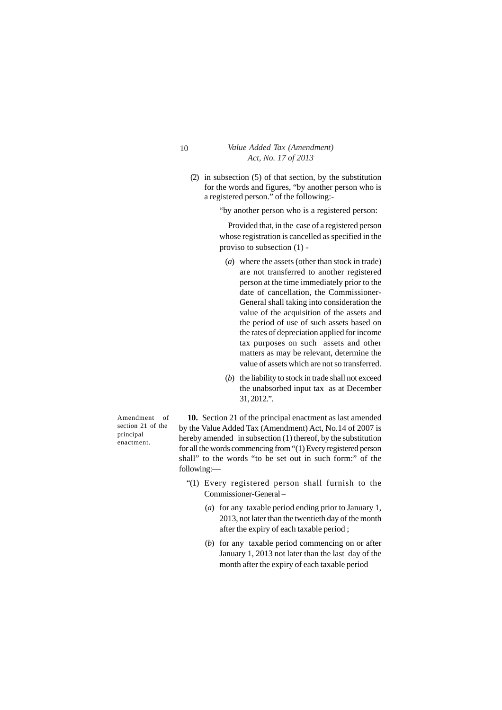(2) in subsection (5) of that section, by the substitution for the words and figures, "by another person who is a registered person." of the following:-

"by another person who is a registered person:

Provided that, in the case of a registered person whose registration is cancelled as specified in the proviso to subsection (1) -

- (*a*) where the assets (other than stock in trade) are not transferred to another registered person at the time immediately prior to the date of cancellation, the Commissioner-General shall taking into consideration the value of the acquisition of the assets and the period of use of such assets based on the rates of depreciation applied for income tax purposes on such assets and other matters as may be relevant, determine the value of assets which are not so transferred.
- (*b*) the liability to stock in trade shall not exceed the unabsorbed input tax as at December 31, 2012.".

Amendment of section 21 of the principal enactment.

**10.** Section 21 of the principal enactment as last amended by the Value Added Tax (Amendment) Act, No.14 of 2007 is hereby amended in subsection (1) thereof, by the substitution for all the words commencing from "(1) Every registered person shall" to the words "to be set out in such form:" of the following:—

- "(1) Every registered person shall furnish to the Commissioner-General –
	- (*a*) for any taxable period ending prior to January 1, 2013, not later than the twentieth day of the month after the expiry of each taxable period ;
	- (*b*) for any taxable period commencing on or after January 1, 2013 not later than the last day of the month after the expiry of each taxable period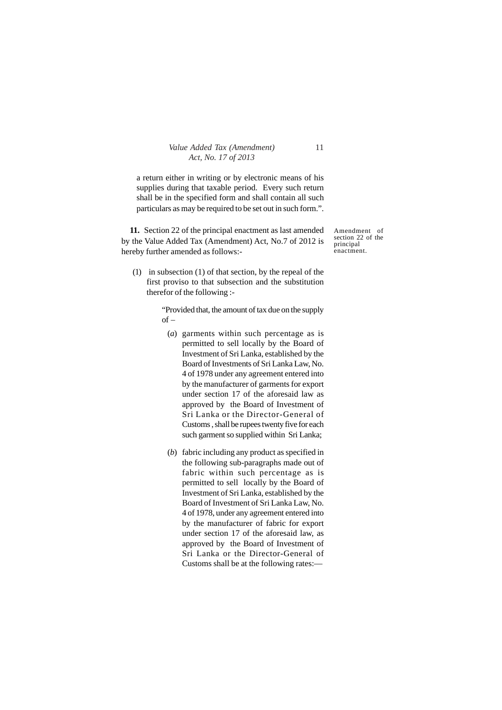a return either in writing or by electronic means of his supplies during that taxable period. Every such return shall be in the specified form and shall contain all such particulars as may be required to be set out in such form.".

**11.** Section 22 of the principal enactment as last amended by the Value Added Tax (Amendment) Act, No.7 of 2012 is hereby further amended as follows:-

(1) in subsection (1) of that section, by the repeal of the first proviso to that subsection and the substitution therefor of the following :-

> "Provided that, the amount of tax due on the supply  $of -$

- (*a*) garments within such percentage as is permitted to sell locally by the Board of Investment of Sri Lanka, established by the Board of Investments of Sri Lanka Law, No. 4 of 1978 under any agreement entered into by the manufacturer of garments for export under section 17 of the aforesaid law as approved by the Board of Investment of Sri Lanka or the Director-General of Customs , shall be rupees twenty five for each such garment so supplied within Sri Lanka;
- (*b*) fabric including any product as specified in the following sub-paragraphs made out of fabric within such percentage as is permitted to sell locally by the Board of Investment of Sri Lanka, established by the Board of Investment of Sri Lanka Law, No. 4 of 1978, under any agreement entered into by the manufacturer of fabric for export under section 17 of the aforesaid law, as approved by the Board of Investment of Sri Lanka or the Director-General of Customs shall be at the following rates:—

Amendment of section 22 of the principal enactment.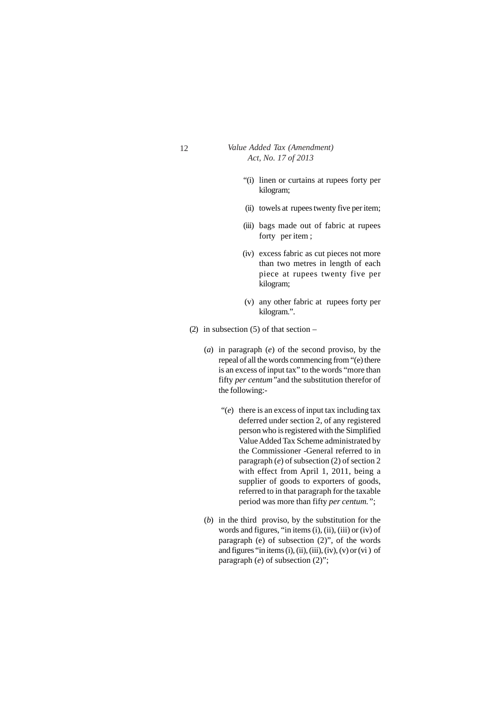- "(i) linen or curtains at rupees forty per kilogram;
- (ii) towels at rupees twenty five per item;
- (iii) bags made out of fabric at rupees forty per item;
- (iv) excess fabric as cut pieces not more than two metres in length of each piece at rupees twenty five per kilogram;
- (v) any other fabric at rupees forty per kilogram.".
- (2) in subsection  $(5)$  of that section
	- (*a*) in paragraph (*e*) of the second proviso, by the repeal of all the words commencing from "(e) there is an excess of input tax" to the words "more than fifty *per centum"*and the substitution therefor of the following:-
		- "(*e*) there is an excess of input tax including tax deferred under section 2, of any registered person who is registered with the Simplified Value Added Tax Scheme administrated by the Commissioner -General referred to in paragraph (*e*) of subsection (2) of section 2 with effect from April 1, 2011, being a supplier of goods to exporters of goods, referred to in that paragraph for the taxable period was more than fifty *per centum."*;
	- (*b*) in the third proviso, by the substitution for the words and figures, "in items (i), (ii), (iii) or (iv) of paragraph (e) of subsection (2)", of the words and figures "in items (i), (ii), (iii), (iv), (v) or (vi) of paragraph (*e*) of subsection (2)";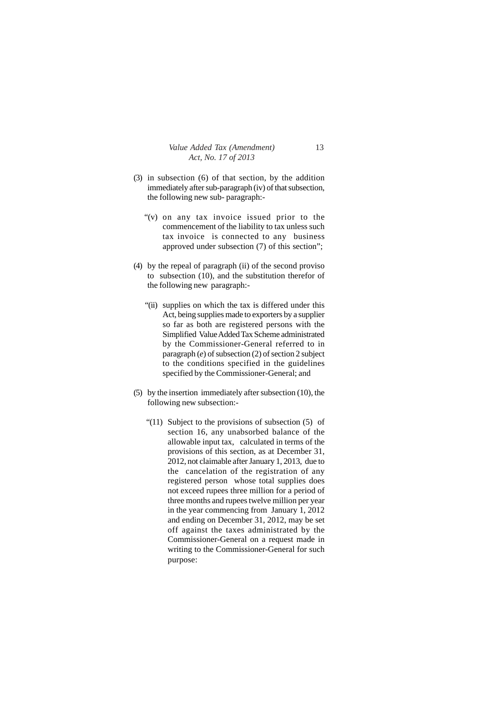- (3) in subsection (6) of that section, by the addition immediately after sub-paragraph (iv) of that subsection, the following new sub- paragraph:-
	- "(v) on any tax invoice issued prior to the commencement of the liability to tax unless such tax invoice is connected to any business approved under subsection (7) of this section";
- (4) by the repeal of paragraph (ii) of the second proviso to subsection (10), and the substitution therefor of the following new paragraph:-
	- "(ii) supplies on which the tax is differed under this Act, being supplies made to exporters by a supplier so far as both are registered persons with the Simplified Value Added Tax Scheme administrated by the Commissioner-General referred to in paragraph (*e*) of subsection (2) of section 2 subject to the conditions specified in the guidelines specified by the Commissioner-General; and
- (5) by the insertion immediately after subsection (10), the following new subsection:-
	- "(11) Subject to the provisions of subsection (5) of section 16, any unabsorbed balance of the allowable input tax, calculated in terms of the provisions of this section, as at December 31, 2012, not claimable after January 1, 2013, due to the cancelation of the registration of any registered person whose total supplies does not exceed rupees three million for a period of three months and rupees twelve million per year in the year commencing from January 1, 2012 and ending on December 31, 2012, may be set off against the taxes administrated by the Commissioner-General on a request made in writing to the Commissioner-General for such purpose: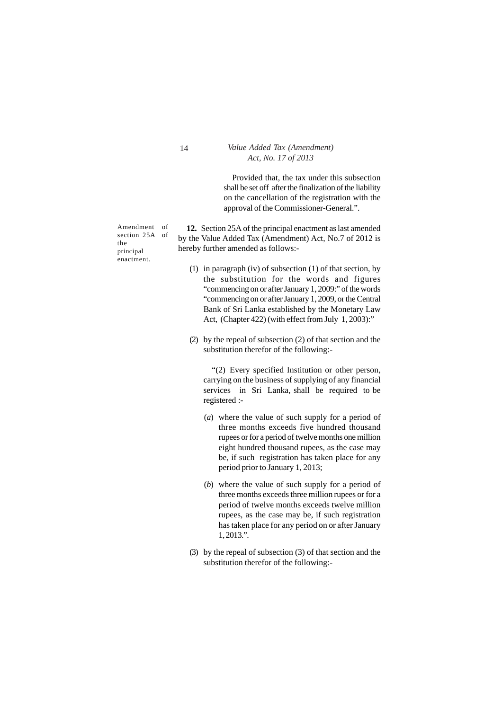Provided that, the tax under this subsection shall be set off after the finalization of the liability on the cancellation of the registration with the approval of the Commissioner-General.".

Amendment of section 25A of the principal enactment.

**12.** Section 25A of the principal enactment as last amended by the Value Added Tax (Amendment) Act, No.7 of 2012 is hereby further amended as follows:-

- (1) in paragraph (iv) of subsection (1) of that section, by the substitution for the words and figures "commencing on or after January 1, 2009:" of the words "commencing on or after January 1, 2009, or the Central Bank of Sri Lanka established by the Monetary Law Act, (Chapter 422) (with effect from July 1, 2003):"
- (2) by the repeal of subsection (2) of that section and the substitution therefor of the following:-

"(2) Every specified Institution or other person, carrying on the business of supplying of any financial services in Sri Lanka, shall be required to be registered :-

- (*a*) where the value of such supply for a period of three months exceeds five hundred thousand rupees or for a period of twelve months one million eight hundred thousand rupees, as the case may be, if such registration has taken place for any period prior to January 1, 2013;
- (*b*) where the value of such supply for a period of three months exceeds three million rupees or for a period of twelve months exceeds twelve million rupees, as the case may be, if such registration has taken place for any period on or after January 1, 2013.".
- (3) by the repeal of subsection (3) of that section and the substitution therefor of the following:-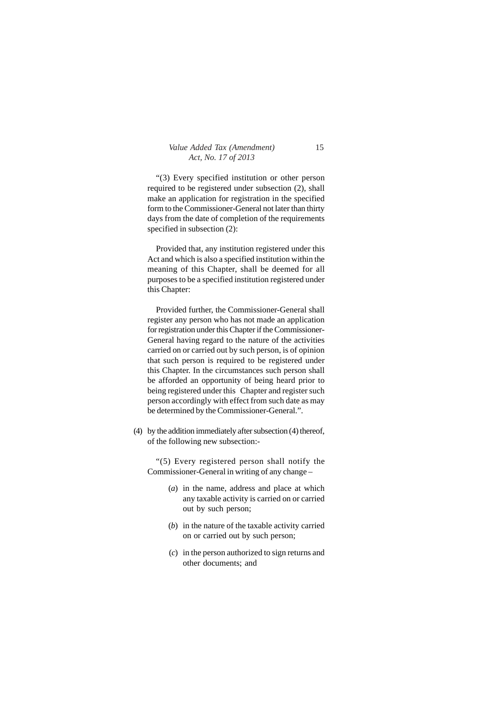"(3) Every specified institution or other person required to be registered under subsection (2), shall make an application for registration in the specified form to the Commissioner-General not later than thirty days from the date of completion of the requirements specified in subsection (2):

Provided that, any institution registered under this Act and which is also a specified institution within the meaning of this Chapter, shall be deemed for all purposes to be a specified institution registered under this Chapter:

Provided further, the Commissioner-General shall register any person who has not made an application for registration under this Chapter if the Commissioner-General having regard to the nature of the activities carried on or carried out by such person, is of opinion that such person is required to be registered under this Chapter. In the circumstances such person shall be afforded an opportunity of being heard prior to being registered under this Chapter and register such person accordingly with effect from such date as may be determined by the Commissioner-General.".

(4) by the addition immediately after subsection (4) thereof, of the following new subsection:-

"(5) Every registered person shall notify the Commissioner-General in writing of any change –

- (*a*) in the name, address and place at which any taxable activity is carried on or carried out by such person;
- (*b*) in the nature of the taxable activity carried on or carried out by such person;
- (*c*) in the person authorized to sign returns and other documents; and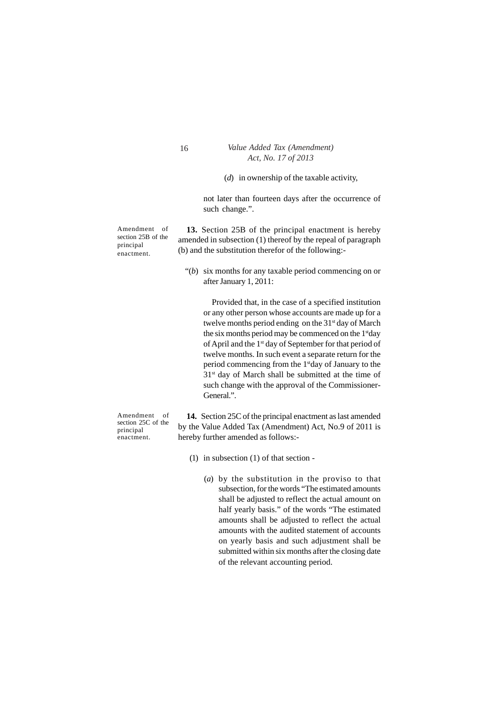(*d*) in ownership of the taxable activity,

not later than fourteen days after the occurrence of such change.".

Amendment of section 25B of the principal enactment.

**13.** Section 25B of the principal enactment is hereby amended in subsection (1) thereof by the repeal of paragraph (b) and the substitution therefor of the following:-

"(*b*) six months for any taxable period commencing on or after January 1, 2011:

Provided that, in the case of a specified institution or any other person whose accounts are made up for a twelve months period ending on the  $31<sup>st</sup>$  day of March the six months period may be commenced on the  $1<sup>st</sup>$ day of April and the 1<sup>st</sup> day of September for that period of twelve months. In such event a separate return for the period commencing from the 1stday of January to the 31st day of March shall be submitted at the time of such change with the approval of the Commissioner-General.".

**14.** Section 25C of the principal enactment as last amended by the Value Added Tax (Amendment) Act, No.9 of 2011 is hereby further amended as follows:-

- (1) in subsection (1) of that section
	- (*a*) by the substitution in the proviso to that subsection, for the words "The estimated amounts shall be adjusted to reflect the actual amount on half yearly basis." of the words "The estimated amounts shall be adjusted to reflect the actual amounts with the audited statement of accounts on yearly basis and such adjustment shall be submitted within six months after the closing date of the relevant accounting period.

Amendment of section 25C of the principal enactment.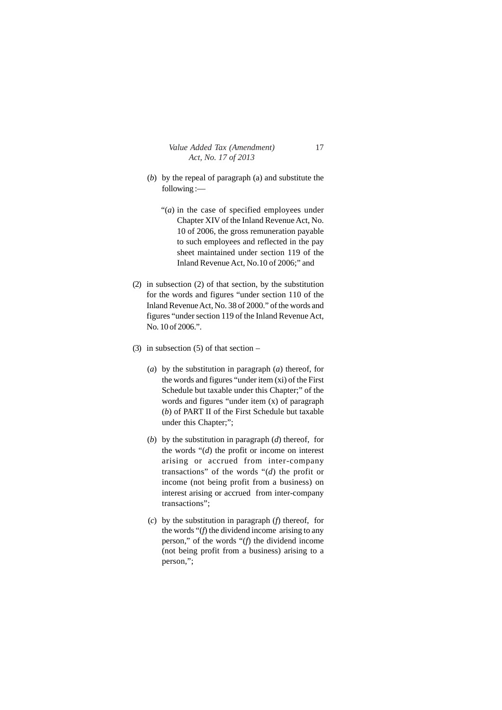- (*b*) by the repeal of paragraph (a) and substitute the following :—
	- "(*a*) in the case of specified employees under Chapter XIV of the Inland Revenue Act, No. 10 of 2006, the gross remuneration payable to such employees and reflected in the pay sheet maintained under section 119 of the Inland Revenue Act, No.10 of 2006;" and
- (2) in subsection (2) of that section, by the substitution for the words and figures "under section 110 of the Inland Revenue Act, No. 38 of 2000." of the words and figures "under section 119 of the Inland Revenue Act, No. 10 of 2006.".
- (3) in subsection  $(5)$  of that section
	- (*a*) by the substitution in paragraph (*a*) thereof, for the words and figures "under item (xi) of the First Schedule but taxable under this Chapter;" of the words and figures "under item (x) of paragraph (*b*) of PART II of the First Schedule but taxable under this Chapter;";
	- (*b*) by the substitution in paragraph (*d*) thereof, for the words "(*d*) the profit or income on interest arising or accrued from inter-company transactions" of the words "(*d*) the profit or income (not being profit from a business) on interest arising or accrued from inter-company transactions";
	- (*c*) by the substitution in paragraph (*f*) thereof, for the words "(*f*) the dividend income arising to any person," of the words "(*f*) the dividend income (not being profit from a business) arising to a person,";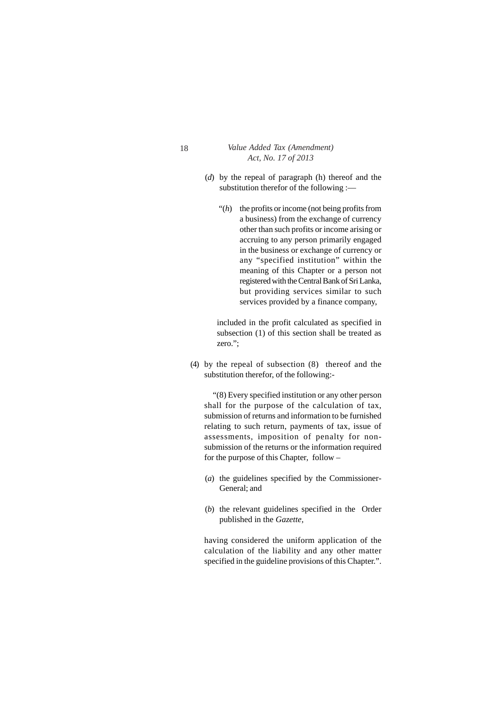- (*d*) by the repeal of paragraph (h) thereof and the substitution therefor of the following :—
	- "(*h*) the profits or income (not being profits from a business) from the exchange of currency other than such profits or income arising or accruing to any person primarily engaged in the business or exchange of currency or any "specified institution" within the meaning of this Chapter or a person not registered with the Central Bank of Sri Lanka, but providing services similar to such services provided by a finance company,

included in the profit calculated as specified in subsection (1) of this section shall be treated as zero.";

(4) by the repeal of subsection (8) thereof and the substitution therefor, of the following:-

"(8) Every specified institution or any other person shall for the purpose of the calculation of tax, submission of returns and information to be furnished relating to such return, payments of tax, issue of assessments, imposition of penalty for nonsubmission of the returns or the information required for the purpose of this Chapter, follow –

- (*a*) the guidelines specified by the Commissioner-General; and
- (*b*) the relevant guidelines specified in the Order published in the *Gazette,*

having considered the uniform application of the calculation of the liability and any other matter specified in the guideline provisions of this Chapter.".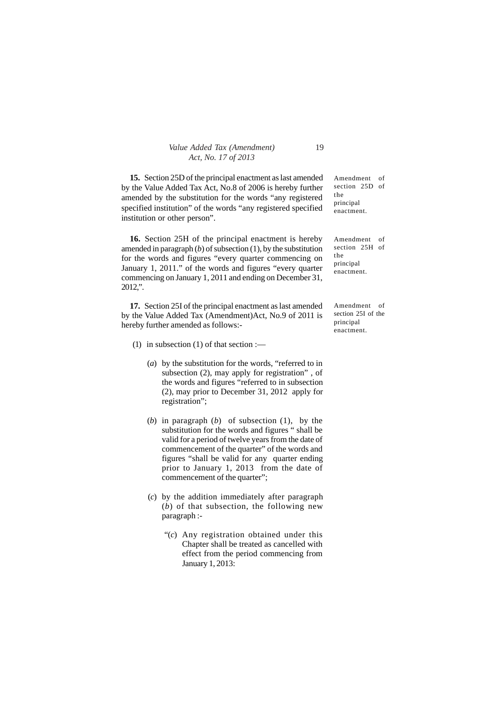| Value Added Tax (Amendment) | 19 |
|-----------------------------|----|
| Act, No. 17 of 2013         |    |

**15.** Section 25D of the principal enactment as last amended by the Value Added Tax Act, No.8 of 2006 is hereby further amended by the substitution for the words "any registered specified institution" of the words "any registered specified institution or other person".

**16.** Section 25H of the principal enactment is hereby amended in paragraph  $(b)$  of subsection  $(1)$ , by the substitution for the words and figures "every quarter commencing on January 1, 2011." of the words and figures "every quarter commencing on January 1, 2011 and ending on December 31, 2012,".

**17.** Section 25I of the principal enactment as last amended by the Value Added Tax (Amendment)Act, No.9 of 2011 is hereby further amended as follows:-

- (1) in subsection  $(1)$  of that section :—
	- (*a*) by the substitution for the words, "referred to in subsection (2), may apply for registration" , of the words and figures "referred to in subsection (2), may prior to December 31, 2012 apply for registration";
	- (*b*) in paragraph (*b*) of subsection (1), by the substitution for the words and figures " shall be valid for a period of twelve years from the date of commencement of the quarter" of the words and figures "shall be valid for any quarter ending prior to January 1, 2013 from the date of commencement of the quarter";
	- (*c*) by the addition immediately after paragraph (*b*) of that subsection, the following new paragraph :-
		- "(*c*) Any registration obtained under this Chapter shall be treated as cancelled with effect from the period commencing from January 1, 2013:

Amendment of section 25D of the principal enactment.

Amendment of section 25H of the principal enactment.

Amendment of section 25I of the principal enactment.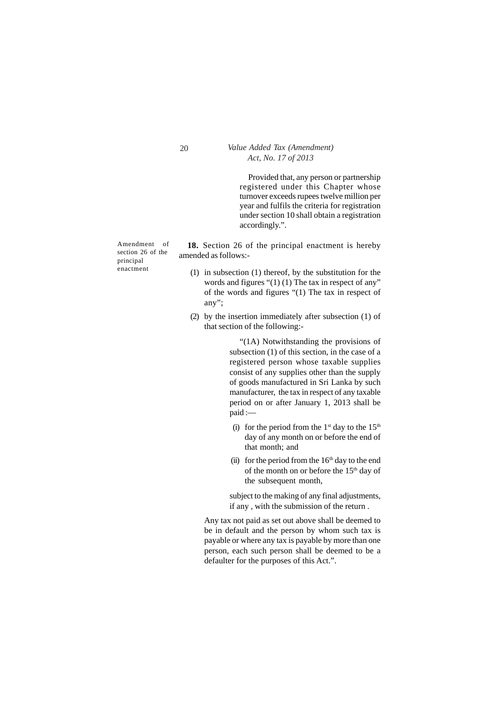Provided that, any person or partnership registered under this Chapter whose turnover exceeds rupees twelve million per year and fulfils the criteria for registration under section 10 shall obtain a registration accordingly.".

Amendment of section 26 of the principal enactment

**18.** Section 26 of the principal enactment is hereby amended as follows:-

- (1) in subsection (1) thereof, by the substitution for the words and figures " $(1)$  (1) The tax in respect of any" of the words and figures "(1) The tax in respect of any";
- (2) by the insertion immediately after subsection (1) of that section of the following:-

"(1A) Notwithstanding the provisions of subsection (1) of this section, in the case of a registered person whose taxable supplies consist of any supplies other than the supply of goods manufactured in Sri Lanka by such manufacturer, the tax in respect of any taxable period on or after January 1, 2013 shall be paid :—

- (i) for the period from the  $1<sup>st</sup>$  day to the  $15<sup>th</sup>$ day of any month on or before the end of that month; and
- (ii) for the period from the  $16<sup>th</sup>$  day to the end of the month on or before the  $15<sup>th</sup>$  day of the subsequent month,

subject to the making of any final adjustments, if any , with the submission of the return .

Any tax not paid as set out above shall be deemed to be in default and the person by whom such tax is payable or where any tax is payable by more than one person, each such person shall be deemed to be a defaulter for the purposes of this Act.".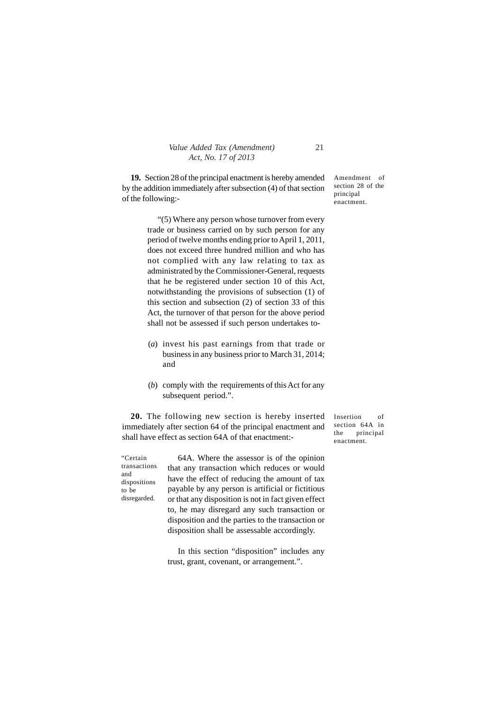**19.** Section 28 of the principal enactment is hereby amended by the addition immediately after subsection (4) of that section of the following:-

> "(5) Where any person whose turnover from every trade or business carried on by such person for any period of twelve months ending prior to April 1, 2011, does not exceed three hundred million and who has not complied with any law relating to tax as administrated by the Commissioner-General, requests that he be registered under section 10 of this Act, notwithstanding the provisions of subsection (1) of this section and subsection (2) of section 33 of this Act, the turnover of that person for the above period shall not be assessed if such person undertakes to-

- (*a*) invest his past earnings from that trade or business in any business prior to March 31, 2014; and
- (*b*) comply with the requirements of this Act for any subsequent period.".

**20.** The following new section is hereby inserted immediately after section 64 of the principal enactment and shall have effect as section 64A of that enactment:-

"Certain transactions and dispositions to be disregarded.

64A. Where the assessor is of the opinion that any transaction which reduces or would have the effect of reducing the amount of tax payable by any person is artificial or fictitious or that any disposition is not in fact given effect to, he may disregard any such transaction or disposition and the parties to the transaction or disposition shall be assessable accordingly.

In this section "disposition" includes any trust, grant, covenant, or arrangement.".

Amendment of section 28 of the principal enactment.

Insertion of section 64A in the principal enactment.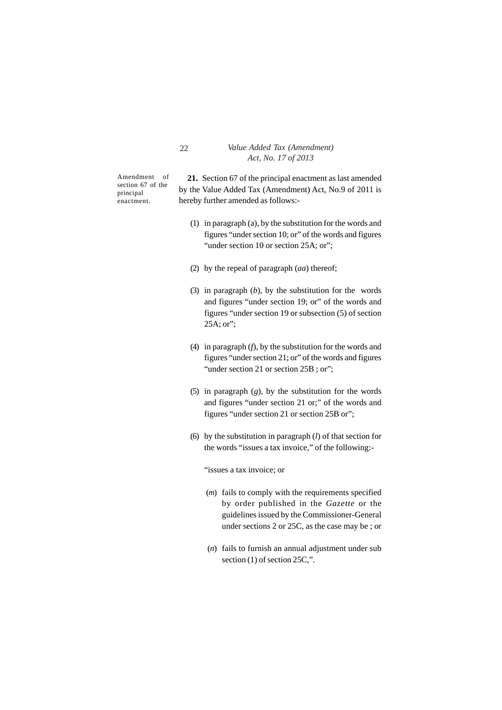Amendment of section 67 of the principal enactment.

**21.** Section 67 of the principal enactment as last amended by the Value Added Tax (Amendment) Act, No.9 of 2011 is hereby further amended as follows:-

- (1) in paragraph (a), by the substitution for the words and figures "under section 10; or" of the words and figures "under section 10 or section 25A; or";
- (2) by the repeal of paragraph (*aa*) thereof;
- (3) in paragraph (*b*), by the substitution for the words and figures "under section 19; or" of the words and figures "under section 19 or subsection (5) of section 25A; or";
- (4) in paragraph (*f*), by the substitution for the words and figures "under section 21; or" of the words and figures "under section 21 or section 25B; or";
- (5) in paragraph (*g*), by the substitution for the words and figures "under section 21 or;" of the words and figures "under section 21 or section 25B or";
- (6) by the substitution in paragraph (*l*) of that section for the words "issues a tax invoice," of the following:-

"issues a tax invoice; or

- (*m*) fails to comply with the requirements specified by order published in the *Gazette* or the guidelines issued by the Commissioner-General under sections 2 or 25C, as the case may be ; or
- (*n*) fails to furnish an annual adjustment under sub section (1) of section 25C,".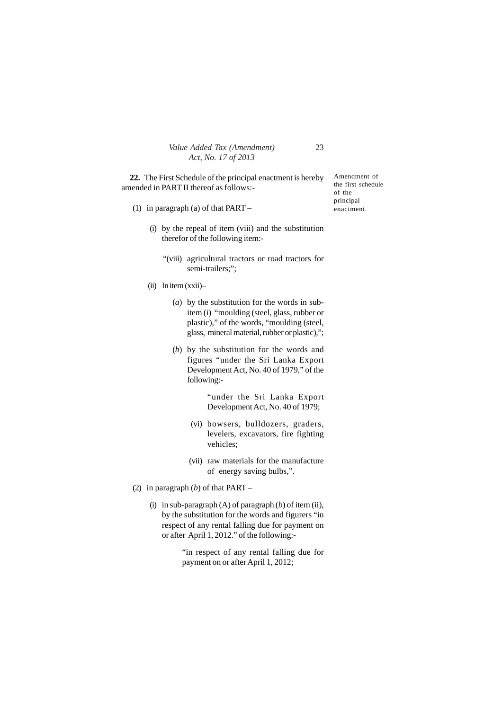| Value Added Tax (Amendment) | 23 |
|-----------------------------|----|
| Act, No. 17 of 2013         |    |

**22.** The First Schedule of the principal enactment is hereby amended in PART II thereof as follows:-

- (1) in paragraph (a) of that PART
	- (i) by the repeal of item (viii) and the substitution therefor of the following item:-
		- "(viii) agricultural tractors or road tractors for semi-trailers;":
	- (ii) In item (xxii)–
		- (*a*) by the substitution for the words in subitem (i) "moulding (steel, glass, rubber or plastic)," of the words, "moulding (steel, glass, mineral material, rubber or plastic),";
		- (*b*) by the substitution for the words and figures "under the Sri Lanka Export Development Act, No. 40 of 1979," of the following:-

"under the Sri Lanka Export Development Act, No. 40 of 1979;

- (vi) bowsers, bulldozers, graders, levelers, excavators, fire fighting vehicles;
- (vii) raw materials for the manufacture of energy saving bulbs,".
- (2) in paragraph (*b*) of that PART
	- (i) in sub-paragraph (A) of paragraph (*b*) of item (ii), by the substitution for the words and figurers "in respect of any rental falling due for payment on or after April 1, 2012." of the following:-

"in respect of any rental falling due for payment on or after April 1, 2012;

Amendment of the first schedule of the principal enactment.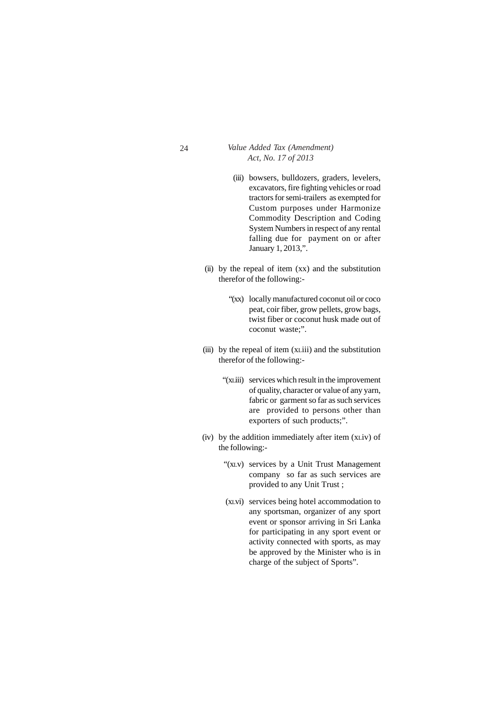- (iii) bowsers, bulldozers, graders, levelers, excavators, fire fighting vehicles or road tractors for semi-trailers as exempted for Custom purposes under Harmonize Commodity Description and Coding System Numbers in respect of any rental falling due for payment on or after January 1, 2013,".
- (ii) by the repeal of item  $(xx)$  and the substitution therefor of the following:-
	- "(xx) locally manufactured coconut oil or coco peat, coir fiber, grow pellets, grow bags, twist fiber or coconut husk made out of coconut waste;".
- (iii) by the repeal of item (xLiii) and the substitution therefor of the following:-
	- "(xLiii) services which result in the improvement of quality, character or value of any yarn, fabric or garment so far as such services are provided to persons other than exporters of such products;".
- (iv) by the addition immediately after item (xLiv) of the following:-
	- "(xLv) services by a Unit Trust Management company so far as such services are provided to any Unit Trust ;
	- (xLvi) services being hotel accommodation to any sportsman, organizer of any sport event or sponsor arriving in Sri Lanka for participating in any sport event or activity connected with sports, as may be approved by the Minister who is in charge of the subject of Sports".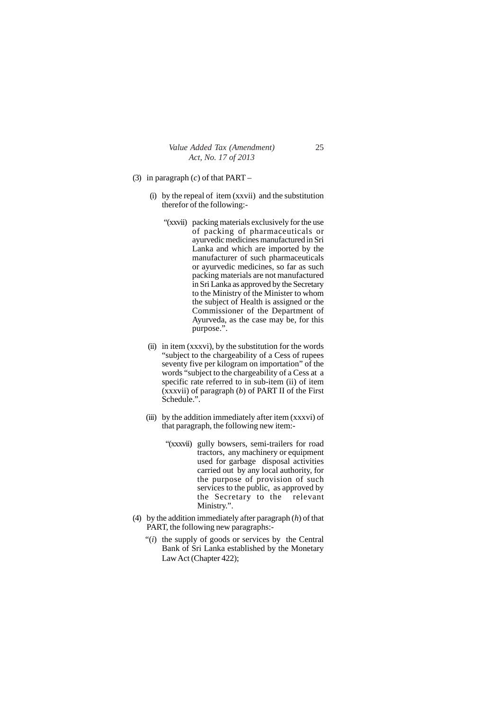- (3) in paragraph (*c*) of that PART
	- (i) by the repeal of item (xxvii) and the substitution therefor of the following:-
		- "(xxvii) packing materials exclusively for the use of packing of pharmaceuticals or ayurvedic medicines manufactured in Sri Lanka and which are imported by the manufacturer of such pharmaceuticals or ayurvedic medicines, so far as such packing materials are not manufactured in Sri Lanka as approved by the Secretary to the Ministry of the Minister to whom the subject of Health is assigned or the Commissioner of the Department of Ayurveda, as the case may be, for this purpose.".
	- (ii) in item (xxxvi), by the substitution for the words "subject to the chargeability of a Cess of rupees seventy five per kilogram on importation" of the words "subject to the chargeability of a Cess at a specific rate referred to in sub-item (ii) of item (xxxvii) of paragraph (*b*) of PART II of the First Schedule.".
	- (iii) by the addition immediately after item (xxxvi) of that paragraph, the following new item:-
		- "(xxxvii) gully bowsers, semi-trailers for road tractors, any machinery or equipment used for garbage disposal activities carried out by any local authority, for the purpose of provision of such services to the public, as approved by the Secretary to the relevant Ministry.".
- (4) by the addition immediately after paragraph (*h*) of that PART, the following new paragraphs:-
	- "(*i*) the supply of goods or services by the Central Bank of Sri Lanka established by the Monetary Law Act (Chapter 422);

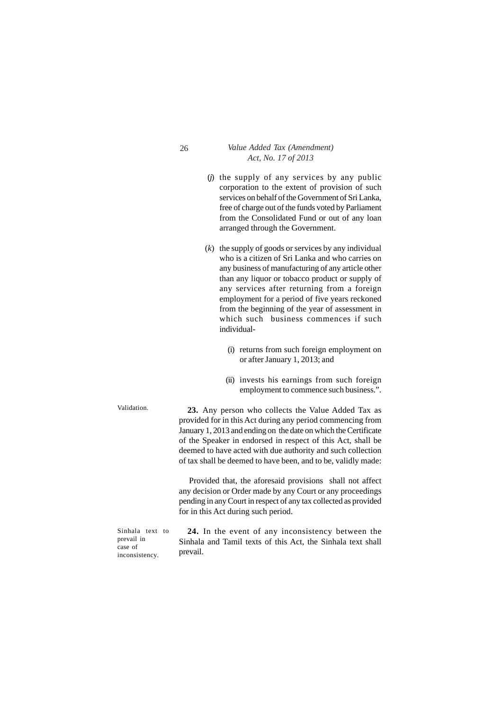- 26 *Value Added Tax (Amendment) Act, No. 17 of 2013*
	- (*j*) the supply of any services by any public corporation to the extent of provision of such services on behalf of the Government of Sri Lanka, free of charge out of the funds voted by Parliament from the Consolidated Fund or out of any loan arranged through the Government.
	- (*k*) the supply of goods or services by any individual who is a citizen of Sri Lanka and who carries on any business of manufacturing of any article other than any liquor or tobacco product or supply of any services after returning from a foreign employment for a period of five years reckoned from the beginning of the year of assessment in which such business commences if such individual-
		- (i) returns from such foreign employment on or after January 1, 2013; and
		- (ii) invests his earnings from such foreign employment to commence such business.".

**23.** Any person who collects the Value Added Tax as provided for in this Act during any period commencing from January 1, 2013 and ending on the date on which the Certificate of the Speaker in endorsed in respect of this Act, shall be deemed to have acted with due authority and such collection of tax shall be deemed to have been, and to be, validly made:

Provided that, the aforesaid provisions shall not affect any decision or Order made by any Court or any proceedings pending in any Court in respect of any tax collected as provided for in this Act during such period.

Sinhala text to prevail in case of inconsistency.

**24.** In the event of any inconsistency between the Sinhala and Tamil texts of this Act, the Sinhala text shall prevail.

Validation.